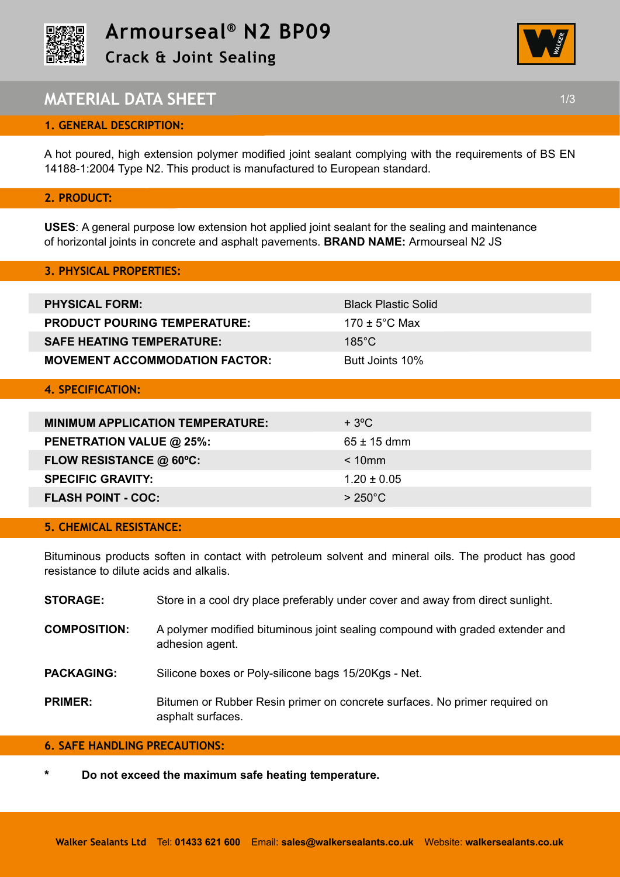



# **MATERIAL DATA SHEET 1/3**

# **1. GENERAL DESCRIPTION:**

A hot poured, high extension polymer modified joint sealant complying with the requirements of BS EN 14188-1:2004 Type N2. This product is manufactured to European standard.

## **2. PRODUCT:**

**USES**: A general purpose low extension hot applied joint sealant for the sealing and maintenance of horizontal joints in concrete and asphalt pavements. **BRAND NAME:** Armourseal N2 JS

| <b>3. PHYSICAL PROPERTIES:</b>          |                            |
|-----------------------------------------|----------------------------|
|                                         |                            |
| <b>PHYSICAL FORM:</b>                   | <b>Black Plastic Solid</b> |
| <b>PRODUCT POURING TEMPERATURE:</b>     | 170 $\pm$ 5°C Max          |
| <b>SAFE HEATING TEMPERATURE:</b>        | $185^{\circ}$ C            |
| <b>MOVEMENT ACCOMMODATION FACTOR:</b>   | Butt Joints 10%            |
|                                         |                            |
| <b>4. SPECIFICATION:</b>                |                            |
|                                         |                            |
| <b>MINIMUM APPLICATION TEMPERATURE:</b> | $+3°C$                     |
| PENETRATION VALUE @ 25%:                | $65 \pm 15$ dmm            |
| FLOW RESISTANCE @ 60°C:                 | $< 10$ mm                  |
| <b>SPECIFIC GRAVITY:</b>                | $1.20 \pm 0.05$            |
| <b>FLASH POINT - COC:</b>               | $>250^{\circ}$ C           |
|                                         |                            |

## **5. CHEMICAL RESISTANCE:**

Bituminous products soften in contact with petroleum solvent and mineral oils. The product has good resistance to dilute acids and alkalis.

| Store in a cool dry place preferably under cover and away from direct sunlight. |
|---------------------------------------------------------------------------------|
|                                                                                 |

- **COMPOSITION:** A polymer modified bituminous joint sealing compound with graded extender and adhesion agent.
- **PACKAGING:** Silicone boxes or Poly-silicone bags 15/20Kgs Net.
- **PRIMER:** Bitumen or Rubber Resin primer on concrete surfaces. No primer required on asphalt surfaces.

# **6. SAFE HANDLING PRECAUTIONS:**

**\* Do not exceed the maximum safe heating temperature.**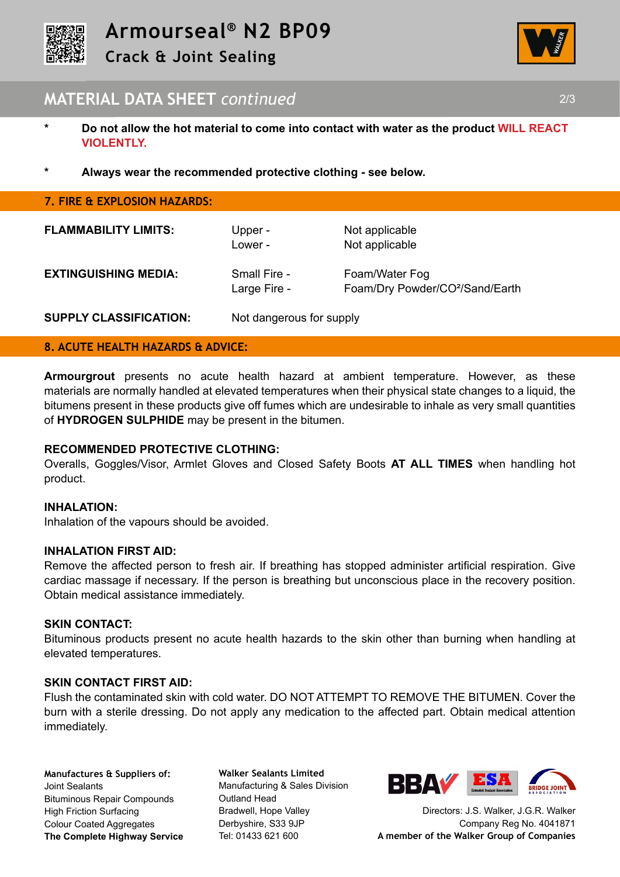



# **MATERIAL DATA SHEET** *continued* 2/3

- **\* Do not allow the hot material to come into contact with water as the product WILL REACT VIOLENTLY.**
- **\* Always wear the recommended protective clothing see below.**

| 7. FIRE & EXPLOSION HAZARDS:  |                              |                                                               |
|-------------------------------|------------------------------|---------------------------------------------------------------|
| <b>FLAMMABILITY LIMITS:</b>   | Upper -<br>Lower -           | Not applicable<br>Not applicable                              |
| <b>EXTINGUISHING MEDIA:</b>   | Small Fire -<br>Large Fire - | Foam/Water Fog<br>Foam/Dry Powder/CO <sup>2</sup> /Sand/Earth |
| <b>SUPPLY CLASSIFICATION:</b> | Not dangerous for supply     |                                                               |

#### **8. ACUTE HEALTH HAZARDS & ADVICE:**

**Armourgrout** presents no acute health hazard at ambient temperature. However, as these materials are normally handled at elevated temperatures when their physical state changes to a liquid, the bitumens present in these products give off fumes which are undesirable to inhale as very small quantities of **HYDROGEN SULPHIDE** may be present in the bitumen.

#### **RECOMMENDED PROTECTIVE CLOTHING:**

Overalls, Goggles/Visor, Armlet Gloves and Closed Safety Boots **AT ALL TIMES** when handling hot product.

#### **INHALATION:**

Inhalation of the vapours should be avoided.

#### **INHALATION FIRST AID:**

Remove the affected person to fresh air. If breathing has stopped administer artificial respiration. Give cardiac massage if necessary. If the person is breathing but unconscious place in the recovery position. Obtain medical assistance immediately.

#### **SKIN CONTACT:**

Bituminous products present no acute health hazards to the skin other than burning when handling at elevated temperatures.

#### **SKIN CONTACT FIRST AID:**

Flush the contaminated skin with cold water. DO NOT ATTEMPT TO REMOVE THE BITUMEN. Cover the burn with a sterile dressing. Do not apply any medication to the affected part. Obtain medical attention immediately.

**Manufactures & Suppliers of:**  Joint Sealants Bituminous Repair Compounds High Friction Surfacing Colour Coated Aggregates **The Complete Highway Service**

**Walker Sealants Limited**  Manufacturing & Sales Division Outland Head Bradwell, Hope Valley Derbyshire, S33 9JP Tel: 01433 621 600



Directors: J.S. Walker, J.G.R. Walker Company Reg No. 4041871 **A member of the Walker Group of Companies**